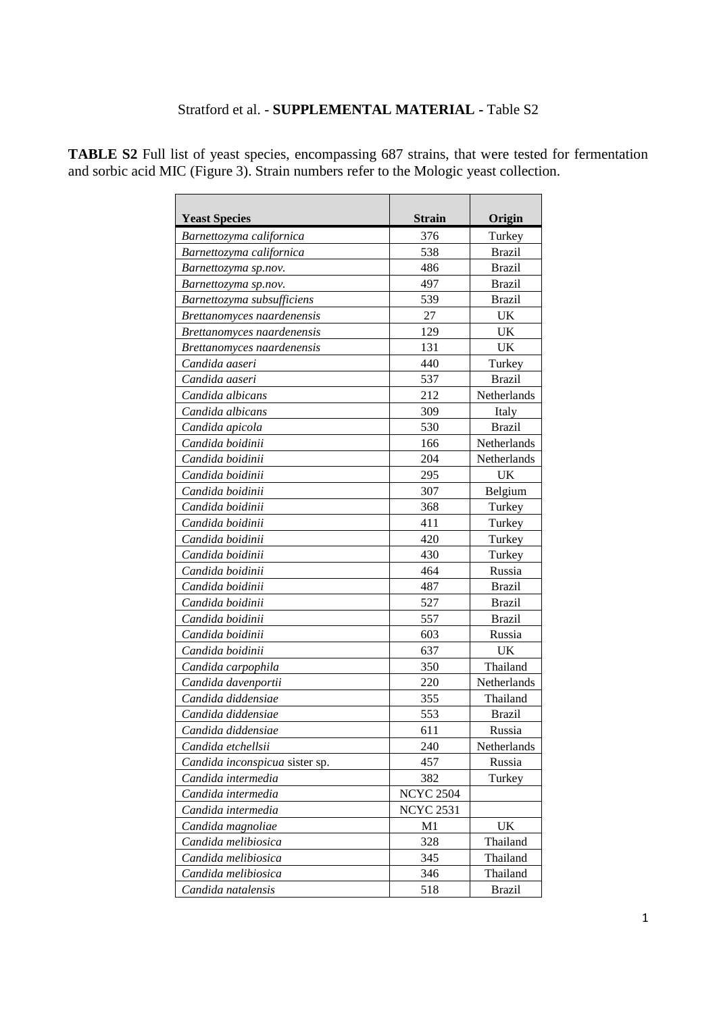## Stratford et al. - **SUPPLEMENTAL MATERIAL -** Table S2

| <b>Yeast Species</b>           | <b>Strain</b>    | Origin        |
|--------------------------------|------------------|---------------|
| Barnettozyma californica       | 376              | Turkey        |
| Barnettozyma californica       | 538              | <b>Brazil</b> |
| Barnettozyma sp.nov.           | 486              | <b>Brazil</b> |
| Barnettozyma sp.nov.           | 497              | <b>Brazil</b> |
| Barnettozyma subsufficiens     | 539              | <b>Brazil</b> |
| Brettanomyces naardenensis     | 27               | UK            |
| Brettanomyces naardenensis     | 129              | <b>UK</b>     |
| Brettanomyces naardenensis     | 131              | UK            |
| Candida aaseri                 | 440              | Turkey        |
| Candida aaseri                 | 537              | <b>Brazil</b> |
| Candida albicans               | 212              | Netherlands   |
| Candida albicans               | 309              | Italy         |
| Candida apicola                | 530              | <b>Brazil</b> |
| Candida boidinii               | 166              | Netherlands   |
| Candida boidinii               | 204              | Netherlands   |
| Candida boidinii               | 295              | UK            |
| Candida boidinii               | 307              | Belgium       |
| Candida boidinii               | 368              | Turkey        |
| Candida boidinii               | 411              | Turkey        |
| Candida boidinii               | 420              | Turkey        |
| Candida boidinii               | 430              | Turkey        |
| Candida boidinii               | 464              | Russia        |
| Candida boidinii               | 487              | <b>Brazil</b> |
| Candida boidinii               | 527              | <b>Brazil</b> |
| Candida boidinii               | 557              | <b>Brazil</b> |
| Candida boidinii               | 603              | Russia        |
| Candida boidinii               | 637              | UK            |
| Candida carpophila             | 350              | Thailand      |
| Candida davenportii            | 220              | Netherlands   |
| Candida diddensiae             | 355              | Thailand      |
| Candida diddensiae             | 553              | <b>Brazil</b> |
| Candida diddensiae             | 611              | Russia        |
| Candida etchellsii             | 240              | Netherlands   |
| Candida inconspicua sister sp. | 457              | Russia        |
| Candida intermedia             | 382              | Turkey        |
| Candida intermedia             | <b>NCYC 2504</b> |               |
| Candida intermedia             | <b>NCYC 2531</b> |               |
| Candida magnoliae              | M1               | UK            |
| Candida melibiosica            | 328              | Thailand      |
| Candida melibiosica            | 345              | Thailand      |
| Candida melibiosica            | 346              | Thailand      |
| Candida natalensis             | 518              | <b>Brazil</b> |

**TABLE S2** Full list of yeast species, encompassing 687 strains, that were tested for fermentation and sorbic acid MIC (Figure 3). Strain numbers refer to the Mologic yeast collection.

 $\overline{a}$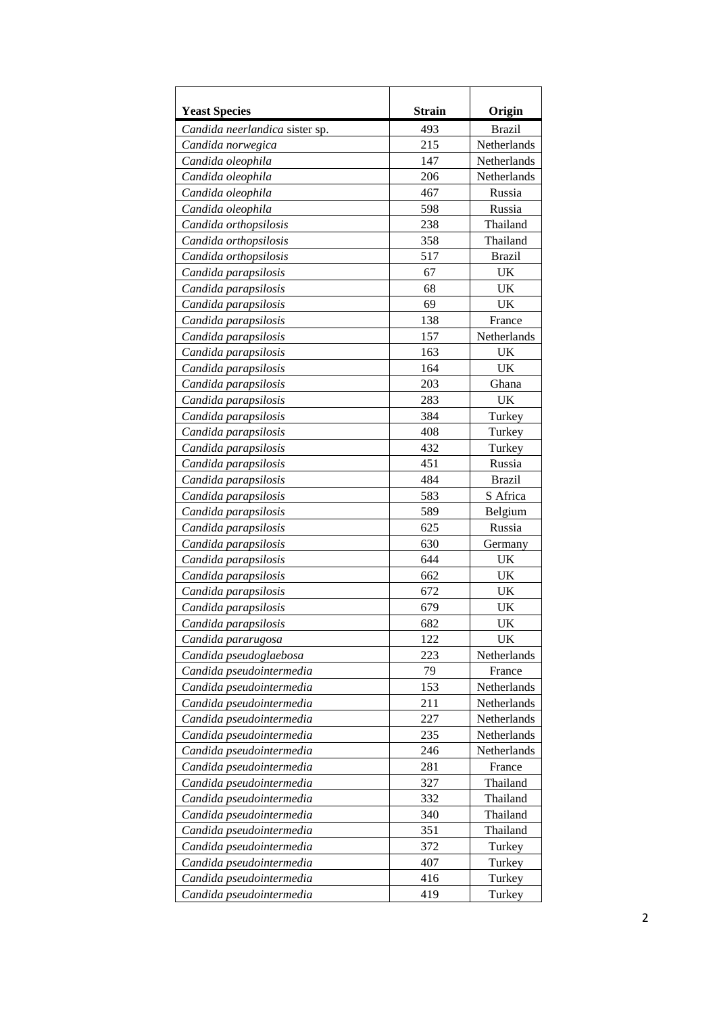| <b>Yeast Species</b>           | <b>Strain</b> | Origin        |
|--------------------------------|---------------|---------------|
| Candida neerlandica sister sp. | 493           | <b>Brazil</b> |
| Candida norwegica              | 215           | Netherlands   |
| Candida oleophila              | 147           | Netherlands   |
| Candida oleophila              | 206           | Netherlands   |
| Candida oleophila              | 467           | Russia        |
| Candida oleophila              | 598           | Russia        |
| Candida orthopsilosis          | 238           | Thailand      |
| Candida orthopsilosis          | 358           | Thailand      |
| Candida orthopsilosis          | 517           | <b>Brazil</b> |
| Candida parapsilosis           | 67            | <b>UK</b>     |
| Candida parapsilosis           | 68            | <b>UK</b>     |
| Candida parapsilosis           | 69            | UK            |
| Candida parapsilosis           | 138           | France        |
| Candida parapsilosis           | 157           | Netherlands   |
| Candida parapsilosis           | 163           | <b>UK</b>     |
| Candida parapsilosis           | 164           | <b>UK</b>     |
| Candida parapsilosis           | 203           | Ghana         |
| Candida parapsilosis           | 283           | UK            |
| Candida parapsilosis           | 384           | Turkey        |
| Candida parapsilosis           | 408           | Turkey        |
| Candida parapsilosis           | 432           | Turkey        |
| Candida parapsilosis           | 451           | Russia        |
| Candida parapsilosis           | 484           | <b>Brazil</b> |
| Candida parapsilosis           | 583           | S Africa      |
| Candida parapsilosis           | 589           | Belgium       |
| Candida parapsilosis           | 625           | Russia        |
| Candida parapsilosis           | 630           | Germany       |
| Candida parapsilosis           | 644           | UK            |
| Candida parapsilosis           | 662           | UK            |
| Candida parapsilosis           | 672           | <b>UK</b>     |
| Candida parapsilosis           | 679           | UK            |
| Candida parapsilosis           | 682           | UK            |
| Candida pararugosa             | 122           | UK            |
| Candida pseudoglaebosa         | 223           | Netherlands   |
| Candida pseudointermedia       | 79            | France        |
| Candida pseudointermedia       | 153           | Netherlands   |
| Candida pseudointermedia       | 211           | Netherlands   |
| Candida pseudointermedia       | 227           | Netherlands   |
| Candida pseudointermedia       | 235           | Netherlands   |
| Candida pseudointermedia       | 246           | Netherlands   |
| Candida pseudointermedia       | 281           | France        |
| Candida pseudointermedia       | 327           | Thailand      |
| Candida pseudointermedia       | 332           | Thailand      |
| Candida pseudointermedia       | 340           | Thailand      |
| Candida pseudointermedia       | 351           | Thailand      |
| Candida pseudointermedia       | 372           | Turkey        |
| Candida pseudointermedia       | 407           | Turkey        |
| Candida pseudointermedia       | 416           | Turkey        |
| Candida pseudointermedia       | 419           | Turkey        |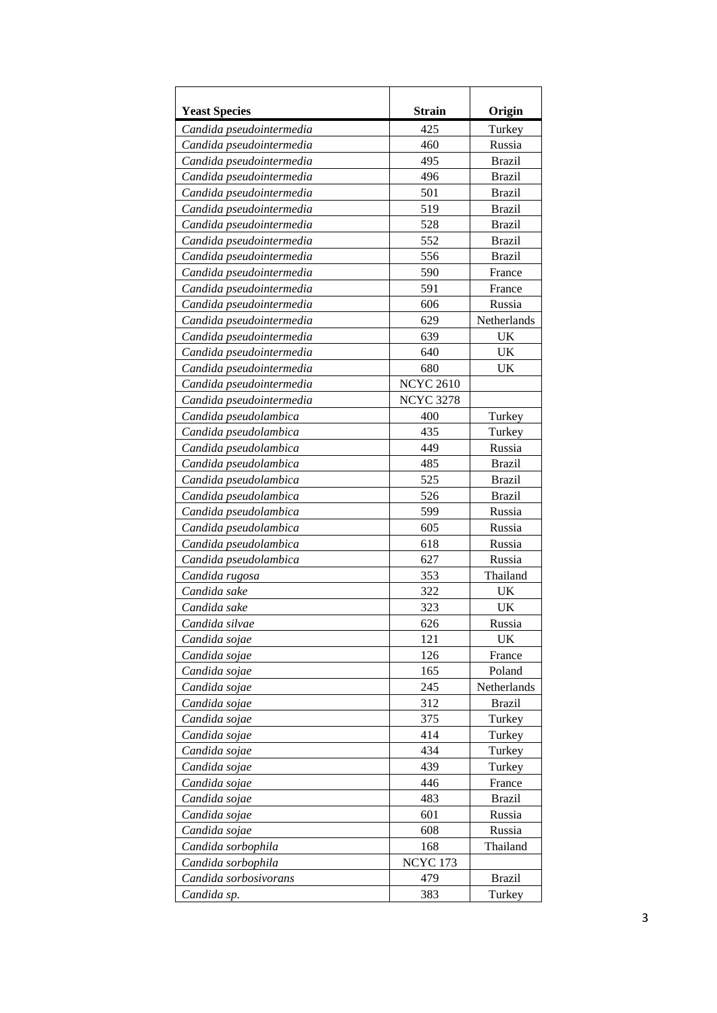| 425<br>Candida pseudointermedia<br>Turkey<br>460<br>Russia<br>Candida pseudointermedia<br>Candida pseudointermedia<br>495<br><b>Brazil</b><br>496<br><b>Brazil</b><br>Candida pseudointermedia<br>501<br><b>Brazil</b><br>Candida pseudointermedia<br>519<br><b>Brazil</b><br>Candida pseudointermedia<br><b>Brazil</b><br>528<br>Candida pseudointermedia<br>552<br><b>Brazil</b><br>Candida pseudointermedia<br>556<br><b>Brazil</b><br>Candida pseudointermedia<br>590<br>France<br>Candida pseudointermedia<br>591<br>Candida pseudointermedia<br>France<br>Russia<br>606<br>Candida pseudointermedia<br>629<br>Netherlands<br>Candida pseudointermedia<br>639<br><b>UK</b><br>Candida pseudointermedia<br>640<br><b>UK</b><br>Candida pseudointermedia<br>680<br>UK<br>Candida pseudointermedia<br><b>NCYC 2610</b><br>Candida pseudointermedia<br><b>NCYC 3278</b><br>Candida pseudointermedia<br>400<br>Candida pseudolambica<br>Turkey<br>435<br>Candida pseudolambica<br>Turkey<br>449<br>Russia<br>Candida pseudolambica<br>485<br><b>Brazil</b><br>Candida pseudolambica<br>525<br><b>Brazil</b><br>Candida pseudolambica<br>526<br><b>Brazil</b><br>Candida pseudolambica<br>599<br>Russia<br>Candida pseudolambica<br>Candida pseudolambica<br>605<br>Russia<br>Russia<br>Candida pseudolambica<br>618<br>627<br>Russia<br>Candida pseudolambica<br>Thailand<br>353<br>Candida rugosa<br>Candida sake<br>322<br>UK<br>Candida sake<br>323<br><b>UK</b><br>626<br>Russia<br>Candida silvae<br>121<br>UK<br>Candida sojae<br>126<br>Candida sojae<br>France<br>Candida sojae<br>165<br>Poland<br>Candida sojae<br>245<br>Netherlands<br><b>Brazil</b><br>Candida sojae<br>312<br>375<br>Candida sojae<br>Turkey<br>414<br>Candida sojae<br>Turkey<br>434<br>Candida sojae<br>Turkey<br>Candida sojae<br>439<br>Turkey<br>446<br>Candida sojae<br>France<br>483<br><b>Brazil</b><br>Candida sojae<br>Candida sojae<br>601<br>Russia<br>608<br>Russia<br>Candida sojae<br>Thailand<br>Candida sorbophila<br>168<br><b>NCYC 173</b><br>Candida sorbophila<br>479<br><b>Brazil</b><br>Candida sorbosivorans<br>Candida sp.<br>383<br>Turkey | <b>Yeast Species</b> | <b>Strain</b> | Origin |
|----------------------------------------------------------------------------------------------------------------------------------------------------------------------------------------------------------------------------------------------------------------------------------------------------------------------------------------------------------------------------------------------------------------------------------------------------------------------------------------------------------------------------------------------------------------------------------------------------------------------------------------------------------------------------------------------------------------------------------------------------------------------------------------------------------------------------------------------------------------------------------------------------------------------------------------------------------------------------------------------------------------------------------------------------------------------------------------------------------------------------------------------------------------------------------------------------------------------------------------------------------------------------------------------------------------------------------------------------------------------------------------------------------------------------------------------------------------------------------------------------------------------------------------------------------------------------------------------------------------------------------------------------------------------------------------------------------------------------------------------------------------------------------------------------------------------------------------------------------------------------------------------------------------------------------------------------------------------------------------------------------------------------------------------------------------------------------------------------------------------------------------------------|----------------------|---------------|--------|
|                                                                                                                                                                                                                                                                                                                                                                                                                                                                                                                                                                                                                                                                                                                                                                                                                                                                                                                                                                                                                                                                                                                                                                                                                                                                                                                                                                                                                                                                                                                                                                                                                                                                                                                                                                                                                                                                                                                                                                                                                                                                                                                                                    |                      |               |        |
|                                                                                                                                                                                                                                                                                                                                                                                                                                                                                                                                                                                                                                                                                                                                                                                                                                                                                                                                                                                                                                                                                                                                                                                                                                                                                                                                                                                                                                                                                                                                                                                                                                                                                                                                                                                                                                                                                                                                                                                                                                                                                                                                                    |                      |               |        |
|                                                                                                                                                                                                                                                                                                                                                                                                                                                                                                                                                                                                                                                                                                                                                                                                                                                                                                                                                                                                                                                                                                                                                                                                                                                                                                                                                                                                                                                                                                                                                                                                                                                                                                                                                                                                                                                                                                                                                                                                                                                                                                                                                    |                      |               |        |
|                                                                                                                                                                                                                                                                                                                                                                                                                                                                                                                                                                                                                                                                                                                                                                                                                                                                                                                                                                                                                                                                                                                                                                                                                                                                                                                                                                                                                                                                                                                                                                                                                                                                                                                                                                                                                                                                                                                                                                                                                                                                                                                                                    |                      |               |        |
|                                                                                                                                                                                                                                                                                                                                                                                                                                                                                                                                                                                                                                                                                                                                                                                                                                                                                                                                                                                                                                                                                                                                                                                                                                                                                                                                                                                                                                                                                                                                                                                                                                                                                                                                                                                                                                                                                                                                                                                                                                                                                                                                                    |                      |               |        |
|                                                                                                                                                                                                                                                                                                                                                                                                                                                                                                                                                                                                                                                                                                                                                                                                                                                                                                                                                                                                                                                                                                                                                                                                                                                                                                                                                                                                                                                                                                                                                                                                                                                                                                                                                                                                                                                                                                                                                                                                                                                                                                                                                    |                      |               |        |
|                                                                                                                                                                                                                                                                                                                                                                                                                                                                                                                                                                                                                                                                                                                                                                                                                                                                                                                                                                                                                                                                                                                                                                                                                                                                                                                                                                                                                                                                                                                                                                                                                                                                                                                                                                                                                                                                                                                                                                                                                                                                                                                                                    |                      |               |        |
|                                                                                                                                                                                                                                                                                                                                                                                                                                                                                                                                                                                                                                                                                                                                                                                                                                                                                                                                                                                                                                                                                                                                                                                                                                                                                                                                                                                                                                                                                                                                                                                                                                                                                                                                                                                                                                                                                                                                                                                                                                                                                                                                                    |                      |               |        |
|                                                                                                                                                                                                                                                                                                                                                                                                                                                                                                                                                                                                                                                                                                                                                                                                                                                                                                                                                                                                                                                                                                                                                                                                                                                                                                                                                                                                                                                                                                                                                                                                                                                                                                                                                                                                                                                                                                                                                                                                                                                                                                                                                    |                      |               |        |
|                                                                                                                                                                                                                                                                                                                                                                                                                                                                                                                                                                                                                                                                                                                                                                                                                                                                                                                                                                                                                                                                                                                                                                                                                                                                                                                                                                                                                                                                                                                                                                                                                                                                                                                                                                                                                                                                                                                                                                                                                                                                                                                                                    |                      |               |        |
|                                                                                                                                                                                                                                                                                                                                                                                                                                                                                                                                                                                                                                                                                                                                                                                                                                                                                                                                                                                                                                                                                                                                                                                                                                                                                                                                                                                                                                                                                                                                                                                                                                                                                                                                                                                                                                                                                                                                                                                                                                                                                                                                                    |                      |               |        |
|                                                                                                                                                                                                                                                                                                                                                                                                                                                                                                                                                                                                                                                                                                                                                                                                                                                                                                                                                                                                                                                                                                                                                                                                                                                                                                                                                                                                                                                                                                                                                                                                                                                                                                                                                                                                                                                                                                                                                                                                                                                                                                                                                    |                      |               |        |
|                                                                                                                                                                                                                                                                                                                                                                                                                                                                                                                                                                                                                                                                                                                                                                                                                                                                                                                                                                                                                                                                                                                                                                                                                                                                                                                                                                                                                                                                                                                                                                                                                                                                                                                                                                                                                                                                                                                                                                                                                                                                                                                                                    |                      |               |        |
|                                                                                                                                                                                                                                                                                                                                                                                                                                                                                                                                                                                                                                                                                                                                                                                                                                                                                                                                                                                                                                                                                                                                                                                                                                                                                                                                                                                                                                                                                                                                                                                                                                                                                                                                                                                                                                                                                                                                                                                                                                                                                                                                                    |                      |               |        |
|                                                                                                                                                                                                                                                                                                                                                                                                                                                                                                                                                                                                                                                                                                                                                                                                                                                                                                                                                                                                                                                                                                                                                                                                                                                                                                                                                                                                                                                                                                                                                                                                                                                                                                                                                                                                                                                                                                                                                                                                                                                                                                                                                    |                      |               |        |
|                                                                                                                                                                                                                                                                                                                                                                                                                                                                                                                                                                                                                                                                                                                                                                                                                                                                                                                                                                                                                                                                                                                                                                                                                                                                                                                                                                                                                                                                                                                                                                                                                                                                                                                                                                                                                                                                                                                                                                                                                                                                                                                                                    |                      |               |        |
|                                                                                                                                                                                                                                                                                                                                                                                                                                                                                                                                                                                                                                                                                                                                                                                                                                                                                                                                                                                                                                                                                                                                                                                                                                                                                                                                                                                                                                                                                                                                                                                                                                                                                                                                                                                                                                                                                                                                                                                                                                                                                                                                                    |                      |               |        |
|                                                                                                                                                                                                                                                                                                                                                                                                                                                                                                                                                                                                                                                                                                                                                                                                                                                                                                                                                                                                                                                                                                                                                                                                                                                                                                                                                                                                                                                                                                                                                                                                                                                                                                                                                                                                                                                                                                                                                                                                                                                                                                                                                    |                      |               |        |
|                                                                                                                                                                                                                                                                                                                                                                                                                                                                                                                                                                                                                                                                                                                                                                                                                                                                                                                                                                                                                                                                                                                                                                                                                                                                                                                                                                                                                                                                                                                                                                                                                                                                                                                                                                                                                                                                                                                                                                                                                                                                                                                                                    |                      |               |        |
|                                                                                                                                                                                                                                                                                                                                                                                                                                                                                                                                                                                                                                                                                                                                                                                                                                                                                                                                                                                                                                                                                                                                                                                                                                                                                                                                                                                                                                                                                                                                                                                                                                                                                                                                                                                                                                                                                                                                                                                                                                                                                                                                                    |                      |               |        |
|                                                                                                                                                                                                                                                                                                                                                                                                                                                                                                                                                                                                                                                                                                                                                                                                                                                                                                                                                                                                                                                                                                                                                                                                                                                                                                                                                                                                                                                                                                                                                                                                                                                                                                                                                                                                                                                                                                                                                                                                                                                                                                                                                    |                      |               |        |
|                                                                                                                                                                                                                                                                                                                                                                                                                                                                                                                                                                                                                                                                                                                                                                                                                                                                                                                                                                                                                                                                                                                                                                                                                                                                                                                                                                                                                                                                                                                                                                                                                                                                                                                                                                                                                                                                                                                                                                                                                                                                                                                                                    |                      |               |        |
|                                                                                                                                                                                                                                                                                                                                                                                                                                                                                                                                                                                                                                                                                                                                                                                                                                                                                                                                                                                                                                                                                                                                                                                                                                                                                                                                                                                                                                                                                                                                                                                                                                                                                                                                                                                                                                                                                                                                                                                                                                                                                                                                                    |                      |               |        |
|                                                                                                                                                                                                                                                                                                                                                                                                                                                                                                                                                                                                                                                                                                                                                                                                                                                                                                                                                                                                                                                                                                                                                                                                                                                                                                                                                                                                                                                                                                                                                                                                                                                                                                                                                                                                                                                                                                                                                                                                                                                                                                                                                    |                      |               |        |
|                                                                                                                                                                                                                                                                                                                                                                                                                                                                                                                                                                                                                                                                                                                                                                                                                                                                                                                                                                                                                                                                                                                                                                                                                                                                                                                                                                                                                                                                                                                                                                                                                                                                                                                                                                                                                                                                                                                                                                                                                                                                                                                                                    |                      |               |        |
|                                                                                                                                                                                                                                                                                                                                                                                                                                                                                                                                                                                                                                                                                                                                                                                                                                                                                                                                                                                                                                                                                                                                                                                                                                                                                                                                                                                                                                                                                                                                                                                                                                                                                                                                                                                                                                                                                                                                                                                                                                                                                                                                                    |                      |               |        |
|                                                                                                                                                                                                                                                                                                                                                                                                                                                                                                                                                                                                                                                                                                                                                                                                                                                                                                                                                                                                                                                                                                                                                                                                                                                                                                                                                                                                                                                                                                                                                                                                                                                                                                                                                                                                                                                                                                                                                                                                                                                                                                                                                    |                      |               |        |
|                                                                                                                                                                                                                                                                                                                                                                                                                                                                                                                                                                                                                                                                                                                                                                                                                                                                                                                                                                                                                                                                                                                                                                                                                                                                                                                                                                                                                                                                                                                                                                                                                                                                                                                                                                                                                                                                                                                                                                                                                                                                                                                                                    |                      |               |        |
|                                                                                                                                                                                                                                                                                                                                                                                                                                                                                                                                                                                                                                                                                                                                                                                                                                                                                                                                                                                                                                                                                                                                                                                                                                                                                                                                                                                                                                                                                                                                                                                                                                                                                                                                                                                                                                                                                                                                                                                                                                                                                                                                                    |                      |               |        |
|                                                                                                                                                                                                                                                                                                                                                                                                                                                                                                                                                                                                                                                                                                                                                                                                                                                                                                                                                                                                                                                                                                                                                                                                                                                                                                                                                                                                                                                                                                                                                                                                                                                                                                                                                                                                                                                                                                                                                                                                                                                                                                                                                    |                      |               |        |
|                                                                                                                                                                                                                                                                                                                                                                                                                                                                                                                                                                                                                                                                                                                                                                                                                                                                                                                                                                                                                                                                                                                                                                                                                                                                                                                                                                                                                                                                                                                                                                                                                                                                                                                                                                                                                                                                                                                                                                                                                                                                                                                                                    |                      |               |        |
|                                                                                                                                                                                                                                                                                                                                                                                                                                                                                                                                                                                                                                                                                                                                                                                                                                                                                                                                                                                                                                                                                                                                                                                                                                                                                                                                                                                                                                                                                                                                                                                                                                                                                                                                                                                                                                                                                                                                                                                                                                                                                                                                                    |                      |               |        |
|                                                                                                                                                                                                                                                                                                                                                                                                                                                                                                                                                                                                                                                                                                                                                                                                                                                                                                                                                                                                                                                                                                                                                                                                                                                                                                                                                                                                                                                                                                                                                                                                                                                                                                                                                                                                                                                                                                                                                                                                                                                                                                                                                    |                      |               |        |
|                                                                                                                                                                                                                                                                                                                                                                                                                                                                                                                                                                                                                                                                                                                                                                                                                                                                                                                                                                                                                                                                                                                                                                                                                                                                                                                                                                                                                                                                                                                                                                                                                                                                                                                                                                                                                                                                                                                                                                                                                                                                                                                                                    |                      |               |        |
|                                                                                                                                                                                                                                                                                                                                                                                                                                                                                                                                                                                                                                                                                                                                                                                                                                                                                                                                                                                                                                                                                                                                                                                                                                                                                                                                                                                                                                                                                                                                                                                                                                                                                                                                                                                                                                                                                                                                                                                                                                                                                                                                                    |                      |               |        |
|                                                                                                                                                                                                                                                                                                                                                                                                                                                                                                                                                                                                                                                                                                                                                                                                                                                                                                                                                                                                                                                                                                                                                                                                                                                                                                                                                                                                                                                                                                                                                                                                                                                                                                                                                                                                                                                                                                                                                                                                                                                                                                                                                    |                      |               |        |
|                                                                                                                                                                                                                                                                                                                                                                                                                                                                                                                                                                                                                                                                                                                                                                                                                                                                                                                                                                                                                                                                                                                                                                                                                                                                                                                                                                                                                                                                                                                                                                                                                                                                                                                                                                                                                                                                                                                                                                                                                                                                                                                                                    |                      |               |        |
|                                                                                                                                                                                                                                                                                                                                                                                                                                                                                                                                                                                                                                                                                                                                                                                                                                                                                                                                                                                                                                                                                                                                                                                                                                                                                                                                                                                                                                                                                                                                                                                                                                                                                                                                                                                                                                                                                                                                                                                                                                                                                                                                                    |                      |               |        |
|                                                                                                                                                                                                                                                                                                                                                                                                                                                                                                                                                                                                                                                                                                                                                                                                                                                                                                                                                                                                                                                                                                                                                                                                                                                                                                                                                                                                                                                                                                                                                                                                                                                                                                                                                                                                                                                                                                                                                                                                                                                                                                                                                    |                      |               |        |
|                                                                                                                                                                                                                                                                                                                                                                                                                                                                                                                                                                                                                                                                                                                                                                                                                                                                                                                                                                                                                                                                                                                                                                                                                                                                                                                                                                                                                                                                                                                                                                                                                                                                                                                                                                                                                                                                                                                                                                                                                                                                                                                                                    |                      |               |        |
|                                                                                                                                                                                                                                                                                                                                                                                                                                                                                                                                                                                                                                                                                                                                                                                                                                                                                                                                                                                                                                                                                                                                                                                                                                                                                                                                                                                                                                                                                                                                                                                                                                                                                                                                                                                                                                                                                                                                                                                                                                                                                                                                                    |                      |               |        |
|                                                                                                                                                                                                                                                                                                                                                                                                                                                                                                                                                                                                                                                                                                                                                                                                                                                                                                                                                                                                                                                                                                                                                                                                                                                                                                                                                                                                                                                                                                                                                                                                                                                                                                                                                                                                                                                                                                                                                                                                                                                                                                                                                    |                      |               |        |
|                                                                                                                                                                                                                                                                                                                                                                                                                                                                                                                                                                                                                                                                                                                                                                                                                                                                                                                                                                                                                                                                                                                                                                                                                                                                                                                                                                                                                                                                                                                                                                                                                                                                                                                                                                                                                                                                                                                                                                                                                                                                                                                                                    |                      |               |        |
|                                                                                                                                                                                                                                                                                                                                                                                                                                                                                                                                                                                                                                                                                                                                                                                                                                                                                                                                                                                                                                                                                                                                                                                                                                                                                                                                                                                                                                                                                                                                                                                                                                                                                                                                                                                                                                                                                                                                                                                                                                                                                                                                                    |                      |               |        |
|                                                                                                                                                                                                                                                                                                                                                                                                                                                                                                                                                                                                                                                                                                                                                                                                                                                                                                                                                                                                                                                                                                                                                                                                                                                                                                                                                                                                                                                                                                                                                                                                                                                                                                                                                                                                                                                                                                                                                                                                                                                                                                                                                    |                      |               |        |
|                                                                                                                                                                                                                                                                                                                                                                                                                                                                                                                                                                                                                                                                                                                                                                                                                                                                                                                                                                                                                                                                                                                                                                                                                                                                                                                                                                                                                                                                                                                                                                                                                                                                                                                                                                                                                                                                                                                                                                                                                                                                                                                                                    |                      |               |        |
|                                                                                                                                                                                                                                                                                                                                                                                                                                                                                                                                                                                                                                                                                                                                                                                                                                                                                                                                                                                                                                                                                                                                                                                                                                                                                                                                                                                                                                                                                                                                                                                                                                                                                                                                                                                                                                                                                                                                                                                                                                                                                                                                                    |                      |               |        |
|                                                                                                                                                                                                                                                                                                                                                                                                                                                                                                                                                                                                                                                                                                                                                                                                                                                                                                                                                                                                                                                                                                                                                                                                                                                                                                                                                                                                                                                                                                                                                                                                                                                                                                                                                                                                                                                                                                                                                                                                                                                                                                                                                    |                      |               |        |
|                                                                                                                                                                                                                                                                                                                                                                                                                                                                                                                                                                                                                                                                                                                                                                                                                                                                                                                                                                                                                                                                                                                                                                                                                                                                                                                                                                                                                                                                                                                                                                                                                                                                                                                                                                                                                                                                                                                                                                                                                                                                                                                                                    |                      |               |        |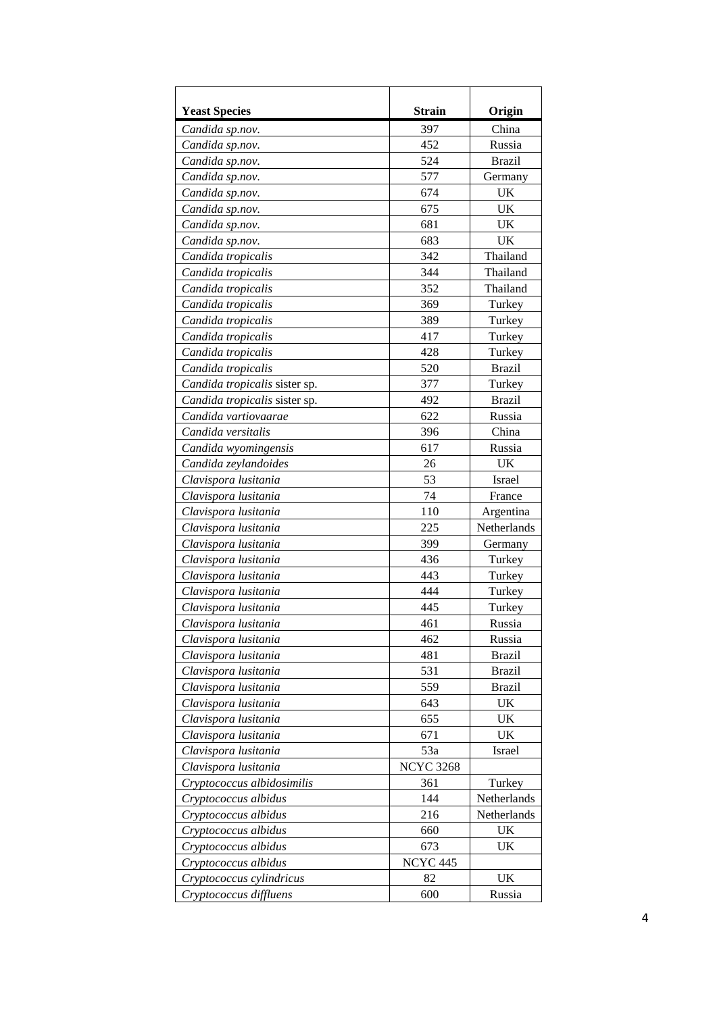| <b>Yeast Species</b>          | <b>Strain</b>       | Origin        |
|-------------------------------|---------------------|---------------|
| Candida sp.nov.               | 397                 | China         |
| Candida sp.nov.               | 452                 | Russia        |
| Candida sp.nov.               | 524                 | <b>Brazil</b> |
| Candida sp.nov.               | 577                 | Germany       |
| Candida sp.nov.               | 674                 | UK            |
| Candida sp.nov.               | 675                 | UK            |
| Candida sp.nov.               | 681                 | UK            |
| Candida sp.nov.               | 683                 | UK            |
| Candida tropicalis            | 342                 | Thailand      |
| Candida tropicalis            | 344                 | Thailand      |
| Candida tropicalis            | 352                 | Thailand      |
| Candida tropicalis            | 369                 | Turkey        |
| Candida tropicalis            | 389                 | Turkey        |
| Candida tropicalis            | 417                 | Turkey        |
| Candida tropicalis            | 428                 | Turkey        |
| Candida tropicalis            | 520                 | <b>Brazil</b> |
| Candida tropicalis sister sp. | 377                 | Turkey        |
| Candida tropicalis sister sp. | 492                 | <b>Brazil</b> |
| Candida vartiovaarae          | 622                 | Russia        |
| Candida versitalis            | 396                 | China         |
| Candida wyomingensis          | 617                 | Russia        |
| Candida zeylandoides          | 26                  | UK            |
| Clavispora lusitania          | 53                  | Israel        |
| Clavispora lusitania          | 74                  | France        |
| Clavispora lusitania          | 110                 | Argentina     |
| Clavispora lusitania          | 225                 | Netherlands   |
| Clavispora lusitania          | 399                 | Germany       |
| Clavispora lusitania          | 436                 | Turkey        |
| Clavispora lusitania          | 443                 | Turkey        |
| Clavispora lusitania          | 444                 | Turkey        |
| Clavispora lusitania          | 445                 | Turkey        |
| Clavispora lusitania          | 461                 | Russia        |
| Clavispora lusitania          | 462                 | Russia        |
| Clavispora lusitania          | 481                 | <b>Brazil</b> |
| Clavispora lusitania          | 531                 | <b>Brazil</b> |
| Clavispora lusitania          | 559                 | <b>Brazil</b> |
| Clavispora lusitania          | 643                 | UK            |
| Clavispora lusitania          | 655                 | <b>UK</b>     |
| Clavispora lusitania          | 671                 | UK            |
| Clavispora lusitania          | 53a                 | Israel        |
| Clavispora lusitania          | <b>NCYC 3268</b>    |               |
| Cryptococcus albidosimilis    | 361                 | Turkey        |
| Cryptococcus albidus          | 144                 | Netherlands   |
| Cryptococcus albidus          | 216                 | Netherlands   |
| Cryptococcus albidus          | 660                 | UK            |
| Cryptococcus albidus          | 673                 | UK            |
| Cryptococcus albidus          | NCYC <sub>445</sub> |               |
| Cryptococcus cylindricus      | 82                  | UK            |
| Cryptococcus diffluens        | 600                 | Russia        |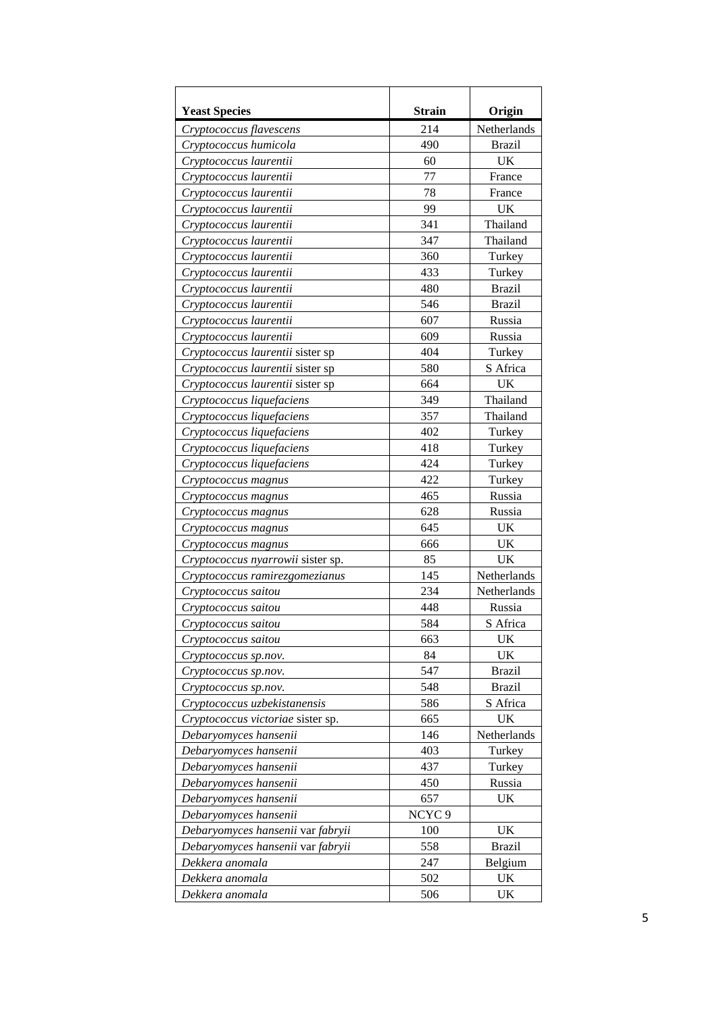| <b>Yeast Species</b>              | <b>Strain</b>     | Origin        |
|-----------------------------------|-------------------|---------------|
| Cryptococcus flavescens           | 214               | Netherlands   |
| Cryptococcus humicola             | 490               | <b>Brazil</b> |
| Cryptococcus laurentii            | 60                | UK            |
| Cryptococcus laurentii            | 77                | France        |
| Cryptococcus laurentii            | 78                | France        |
| Cryptococcus laurentii            | 99                | UK            |
| Cryptococcus laurentii            | 341               | Thailand      |
| Cryptococcus laurentii            | 347               | Thailand      |
| Cryptococcus laurentii            | 360               | Turkey        |
| Cryptococcus laurentii            | 433               | Turkey        |
| Cryptococcus laurentii            | 480               | <b>Brazil</b> |
| Cryptococcus laurentii            | 546               | <b>Brazil</b> |
| Cryptococcus laurentii            | 607               | Russia        |
| Cryptococcus laurentii            | 609               | Russia        |
| Cryptococcus laurentii sister sp  | 404               | Turkey        |
| Cryptococcus laurentii sister sp  | 580               | S Africa      |
| Cryptococcus laurentii sister sp  | 664               | <b>UK</b>     |
| Cryptococcus liquefaciens         | 349               | Thailand      |
| Cryptococcus liquefaciens         | 357               | Thailand      |
| Cryptococcus liquefaciens         | 402               | Turkey        |
| Cryptococcus liquefaciens         | 418               | Turkey        |
| Cryptococcus liquefaciens         | 424               | Turkey        |
| Cryptococcus magnus               | 422               | Turkey        |
| Cryptococcus magnus               | 465               | Russia        |
| Cryptococcus magnus               | 628               | Russia        |
| Cryptococcus magnus               | 645               | <b>UK</b>     |
| Cryptococcus magnus               | 666               | <b>UK</b>     |
| Cryptococcus nyarrowii sister sp. | 85                | <b>UK</b>     |
| Cryptococcus ramirezgomezianus    | 145               | Netherlands   |
| Cryptococcus saitou               | 234               | Netherlands   |
| Cryptococcus saitou               | 448               | Russia        |
| Cryptococcus saitou               | 584               | S Africa      |
| Cryptococcus saitou               | 663               | <b>UK</b>     |
| Cryptococcus sp.nov.              | 84                | UK            |
| Cryptococcus sp.nov.              | 547               | <b>Brazil</b> |
| Cryptococcus sp.nov.              | 548               | <b>Brazil</b> |
| Cryptococcus uzbekistanensis      | 586               | S Africa      |
| Cryptococcus victoriae sister sp. | 665               | <b>UK</b>     |
| Debaryomyces hansenii             | 146               | Netherlands   |
| Debaryomyces hansenii             | 403               | Turkey        |
| Debaryomyces hansenii             | 437               | Turkey        |
| Debaryomyces hansenii             | 450               | Russia        |
| Debaryomyces hansenii             | 657               | <b>UK</b>     |
| Debaryomyces hansenii             | NCYC <sub>9</sub> |               |
| Debaryomyces hansenii var fabryii | 100               | UK            |
| Debaryomyces hansenii var fabryii | 558               | <b>Brazil</b> |
| Dekkera anomala                   | 247               | Belgium       |
| Dekkera anomala                   | 502               | UK            |
| Dekkera anomala                   | 506               | UK            |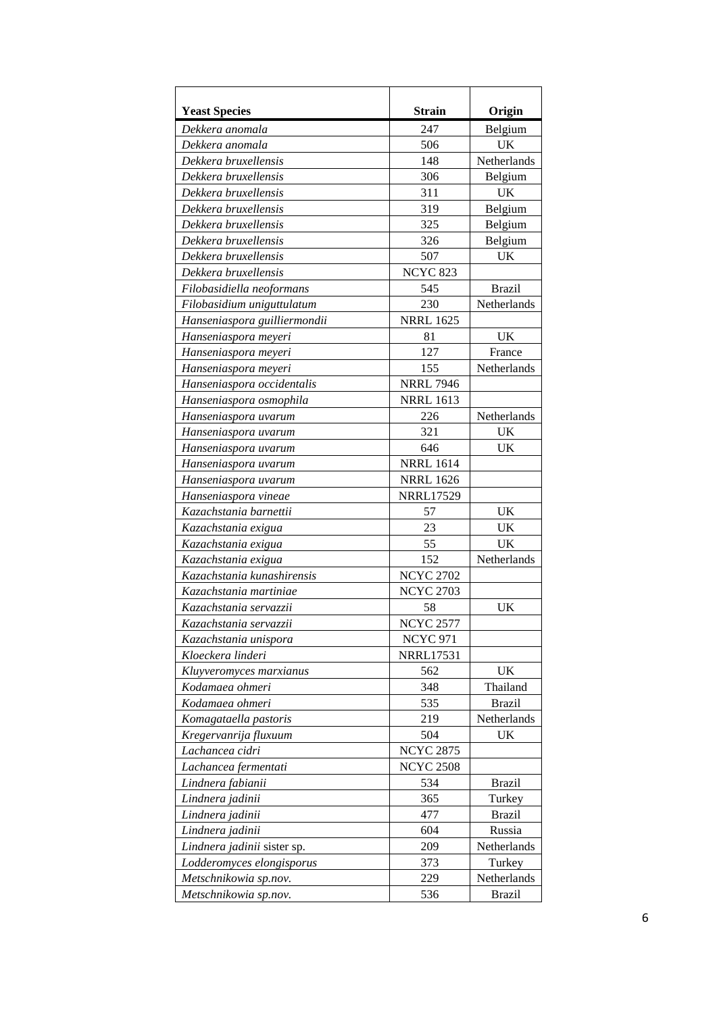| <b>Yeast Species</b>         | <b>Strain</b>    | Origin        |
|------------------------------|------------------|---------------|
| Dekkera anomala              | 247              | Belgium       |
| Dekkera anomala              | 506              | UK            |
| Dekkera bruxellensis         | 148              | Netherlands   |
| Dekkera bruxellensis         | 306              | Belgium       |
| Dekkera bruxellensis         | 311              | <b>UK</b>     |
| Dekkera bruxellensis         | 319              | Belgium       |
| Dekkera bruxellensis         | 325              | Belgium       |
| Dekkera bruxellensis         | 326              | Belgium       |
| Dekkera bruxellensis         | 507              | <b>UK</b>     |
| Dekkera bruxellensis         | <b>NCYC 823</b>  |               |
| Filobasidiella neoformans    | 545              | <b>Brazil</b> |
| Filobasidium uniguttulatum   | 230              | Netherlands   |
| Hanseniaspora guilliermondii | <b>NRRL 1625</b> |               |
| Hanseniaspora meyeri         | 81               | <b>UK</b>     |
| Hanseniaspora meyeri         | 127              | France        |
| Hanseniaspora meyeri         | 155              | Netherlands   |
| Hanseniaspora occidentalis   | <b>NRRL 7946</b> |               |
| Hanseniaspora osmophila      | <b>NRRL 1613</b> |               |
| Hanseniaspora uvarum         | 226              | Netherlands   |
| Hanseniaspora uvarum         | 321              | UK            |
| Hanseniaspora uvarum         | 646              | UK            |
| Hanseniaspora uvarum         | <b>NRRL 1614</b> |               |
| Hanseniaspora uvarum         | <b>NRRL 1626</b> |               |
| Hanseniaspora vineae         | <b>NRRL17529</b> |               |
| Kazachstania barnettii       | 57               | UK            |
| Kazachstania exigua          | 23               | <b>UK</b>     |
| Kazachstania exigua          | 55               | UK            |
| Kazachstania exigua          | 152              | Netherlands   |
| Kazachstania kunashirensis   | <b>NCYC 2702</b> |               |
| Kazachstania martiniae       | <b>NCYC 2703</b> |               |
| Kazachstania servazzii       | 58               | UK            |
| Kazachstania servazzii       | <b>NCYC 2577</b> |               |
| Kazachstania unispora        | <b>NCYC 971</b>  |               |
| Kloeckera linderi            | <b>NRRL17531</b> |               |
| Kluyveromyces marxianus      | 562              | UK            |
| Kodamaea ohmeri              | 348              | Thailand      |
| Kodamaea ohmeri              | 535              | <b>Brazil</b> |
| Komagataella pastoris        | 219              | Netherlands   |
| Kregervanrija fluxuum        | 504              | UK            |
| Lachancea cidri              | <b>NCYC 2875</b> |               |
| Lachancea fermentati         | <b>NCYC 2508</b> |               |
| Lindnera fabianii            | 534              | <b>Brazil</b> |
| Lindnera jadinii             | 365              | Turkey        |
| Lindnera jadinii             | 477              | <b>Brazil</b> |
| Lindnera jadinii             | 604              | Russia        |
| Lindnera jadinii sister sp.  | 209              | Netherlands   |
| Lodderomyces elongisporus    | 373              | Turkey        |
| Metschnikowia sp.nov.        | 229              | Netherlands   |
| Metschnikowia sp.nov.        | 536              | <b>Brazil</b> |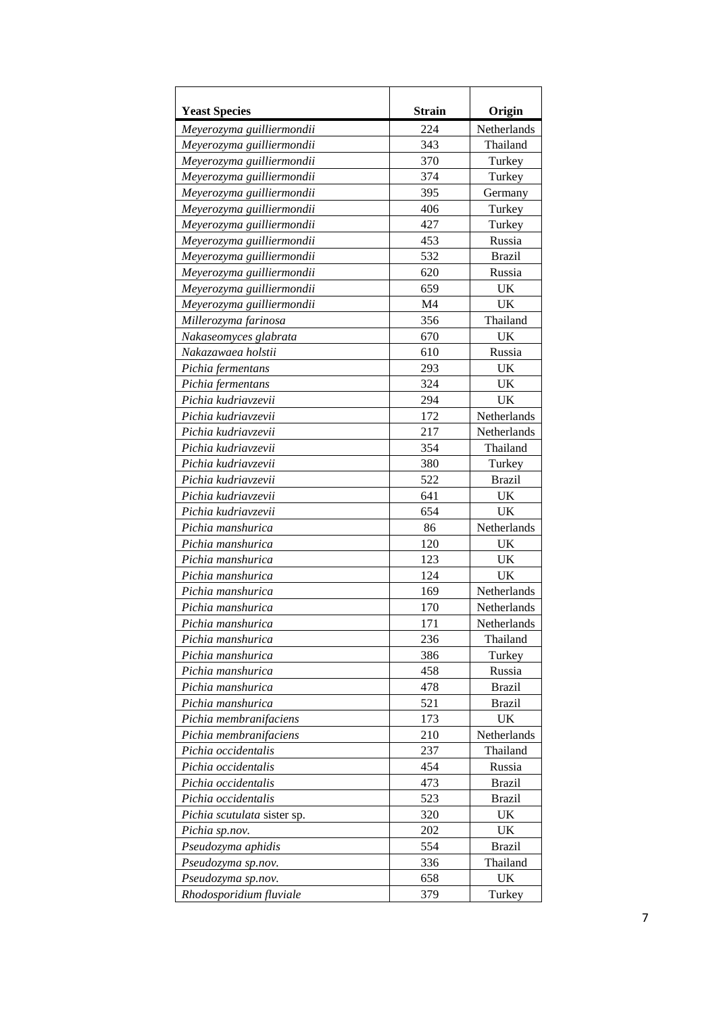| <b>Yeast Species</b>        | <b>Strain</b> | Origin             |
|-----------------------------|---------------|--------------------|
| Meyerozyma guilliermondii   | 224           | Netherlands        |
| Meyerozyma guilliermondii   | 343           | Thailand           |
| Meyerozyma guilliermondii   | 370           | Turkey             |
| Meyerozyma guilliermondii   | 374           | Turkey             |
| Meyerozyma guilliermondii   | 395           | Germany            |
| Meyerozyma guilliermondii   | 406           | Turkey             |
| Meyerozyma guilliermondii   | 427           | Turkey             |
| Meyerozyma guilliermondii   | 453           | Russia             |
| Meyerozyma guilliermondii   | 532           | <b>Brazil</b>      |
| Meyerozyma guilliermondii   | 620           | Russia             |
| Meyerozyma guilliermondii   | 659           | UK                 |
| Meyerozyma guilliermondii   | M4            | UK                 |
| Millerozyma farinosa        | 356           | Thailand           |
| Nakaseomyces glabrata       | 670           | <b>UK</b>          |
| Nakazawaea holstii          | 610           | Russia             |
| Pichia fermentans           | 293           | UK                 |
| Pichia fermentans           | 324           | <b>UK</b>          |
| Pichia kudriavzevii         | 294           | <b>UK</b>          |
| Pichia kudriavzevii         | 172           | Netherlands        |
| Pichia kudriavzevii         | 217           | Netherlands        |
| Pichia kudriavzevii         | 354           | Thailand           |
| Pichia kudriavzevii         | 380           | Turkey             |
| Pichia kudriavzevii         | 522           | <b>Brazil</b>      |
| Pichia kudriavzevii         | 641           | <b>UK</b>          |
| Pichia kudriavzevii         | 654           | UK                 |
| Pichia manshurica           | 86            | Netherlands        |
| Pichia manshurica           | 120           | <b>UK</b>          |
| Pichia manshurica           | 123           | <b>UK</b>          |
| Pichia manshurica           | 124           | UK                 |
| Pichia manshurica           | 169           | Netherlands        |
| Pichia manshurica           | 170           | Netherlands        |
| Pichia manshurica           | 171           | <b>Netherlands</b> |
| Pichia manshurica           | 236           | Thailand           |
| Pichia manshurica           | 386           | Turkey             |
| Pichia manshurica           | 458           | Russia             |
| Pichia manshurica           | 478           | <b>Brazil</b>      |
| Pichia manshurica           | 521           | <b>Brazil</b>      |
| Pichia membranifaciens      | 173           | UK                 |
| Pichia membranifaciens      | 210           | Netherlands        |
| Pichia occidentalis         | 237           | Thailand           |
| Pichia occidentalis         | 454           | Russia             |
| Pichia occidentalis         | 473           | <b>Brazil</b>      |
| Pichia occidentalis         | 523           | <b>Brazil</b>      |
| Pichia scutulata sister sp. | 320           | UK                 |
| Pichia sp.nov.              | 202           | UK                 |
| Pseudozyma aphidis          | 554           | <b>Brazil</b>      |
| Pseudozyma sp.nov.          | 336           | Thailand           |
| Pseudozyma sp.nov.          | 658           | UK                 |
| Rhodosporidium fluviale     | 379           | Turkey             |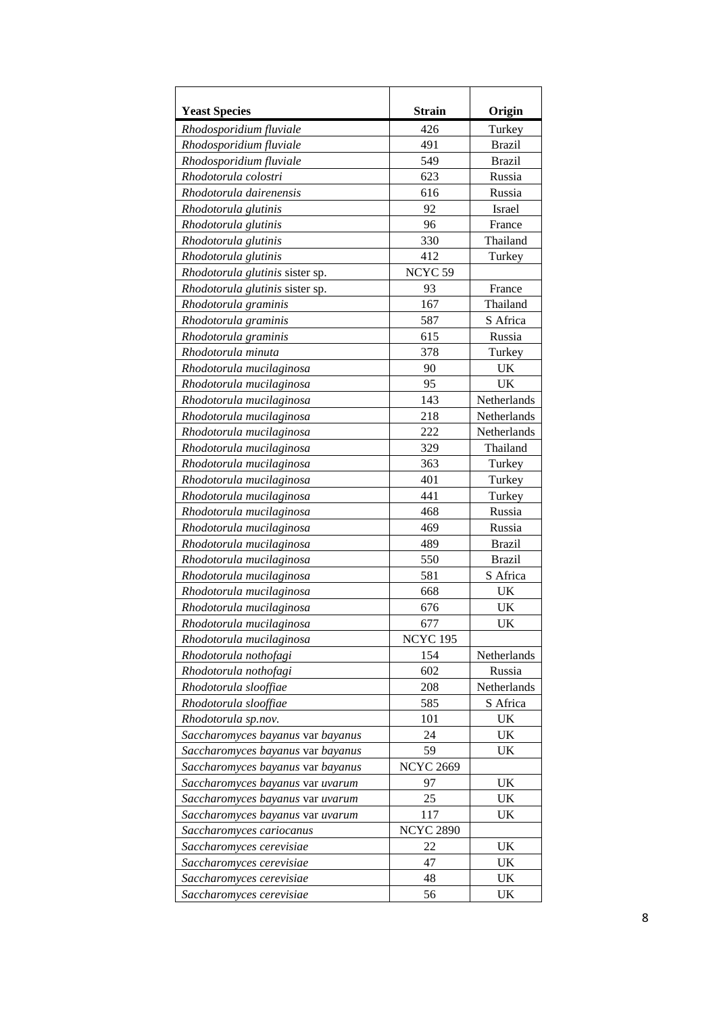| <b>Yeast Species</b>              | <b>Strain</b>      | Origin        |
|-----------------------------------|--------------------|---------------|
| Rhodosporidium fluviale           | 426                | Turkey        |
| Rhodosporidium fluviale           | 491                | <b>Brazil</b> |
| Rhodosporidium fluviale           | 549                | <b>Brazil</b> |
| Rhodotorula colostri              | 623                | Russia        |
| Rhodotorula dairenensis           | 616                | Russia        |
| Rhodotorula glutinis              | 92                 | Israel        |
| Rhodotorula glutinis              | 96                 | France        |
| Rhodotorula glutinis              | 330                | Thailand      |
| Rhodotorula glutinis              | 412                | Turkey        |
| Rhodotorula glutinis sister sp.   | NCYC <sub>59</sub> |               |
| Rhodotorula glutinis sister sp.   | 93                 | France        |
| Rhodotorula graminis              | 167                | Thailand      |
| Rhodotorula graminis              | 587                | S Africa      |
| Rhodotorula graminis              | 615                | Russia        |
| Rhodotorula minuta                | 378                | Turkey        |
| Rhodotorula mucilaginosa          | 90                 | UK            |
| Rhodotorula mucilaginosa          | 95                 | UK            |
| Rhodotorula mucilaginosa          | 143                | Netherlands   |
| Rhodotorula mucilaginosa          | 218                | Netherlands   |
| Rhodotorula mucilaginosa          | 222                | Netherlands   |
| Rhodotorula mucilaginosa          | 329                | Thailand      |
| Rhodotorula mucilaginosa          | 363                | Turkey        |
| Rhodotorula mucilaginosa          | 401                | Turkey        |
| Rhodotorula mucilaginosa          | 441                | Turkey        |
| Rhodotorula mucilaginosa          | 468                | Russia        |
| Rhodotorula mucilaginosa          | 469                | Russia        |
| Rhodotorula mucilaginosa          | 489                | <b>Brazil</b> |
| Rhodotorula mucilaginosa          | 550                | <b>Brazil</b> |
| Rhodotorula mucilaginosa          | 581                | S Africa      |
| Rhodotorula mucilaginosa          | 668                | UK            |
| Rhodotorula mucilaginosa          | 676                | UK            |
| Rhodotorula mucilaginosa          | 677                | <b>UK</b>     |
| Rhodotorula mucilaginosa          | <b>NCYC 195</b>    |               |
| Rhodotorula nothofagi             | 154                | Netherlands   |
| Rhodotorula nothofagi             | 602                | Russia        |
| Rhodotorula slooffiae             | 208                | Netherlands   |
| Rhodotorula slooffiae             | 585                | S Africa      |
| Rhodotorula sp.nov.               | 101                | UK            |
| Saccharomyces bayanus var bayanus | 24                 | UK            |
| Saccharomyces bayanus var bayanus | 59                 | UK            |
| Saccharomyces bayanus var bayanus | <b>NCYC 2669</b>   |               |
| Saccharomyces bayanus var uvarum  | 97                 | UK            |
| Saccharomyces bayanus var uvarum  | 25                 | UK            |
| Saccharomyces bayanus var uvarum  | 117                | UK            |
| Saccharomyces cariocanus          | <b>NCYC 2890</b>   |               |
| Saccharomyces cerevisiae          | 22                 | UK            |
| Saccharomyces cerevisiae          | 47                 | UK            |
| Saccharomyces cerevisiae          | 48                 | UK            |
| Saccharomyces cerevisiae          | 56                 | UK            |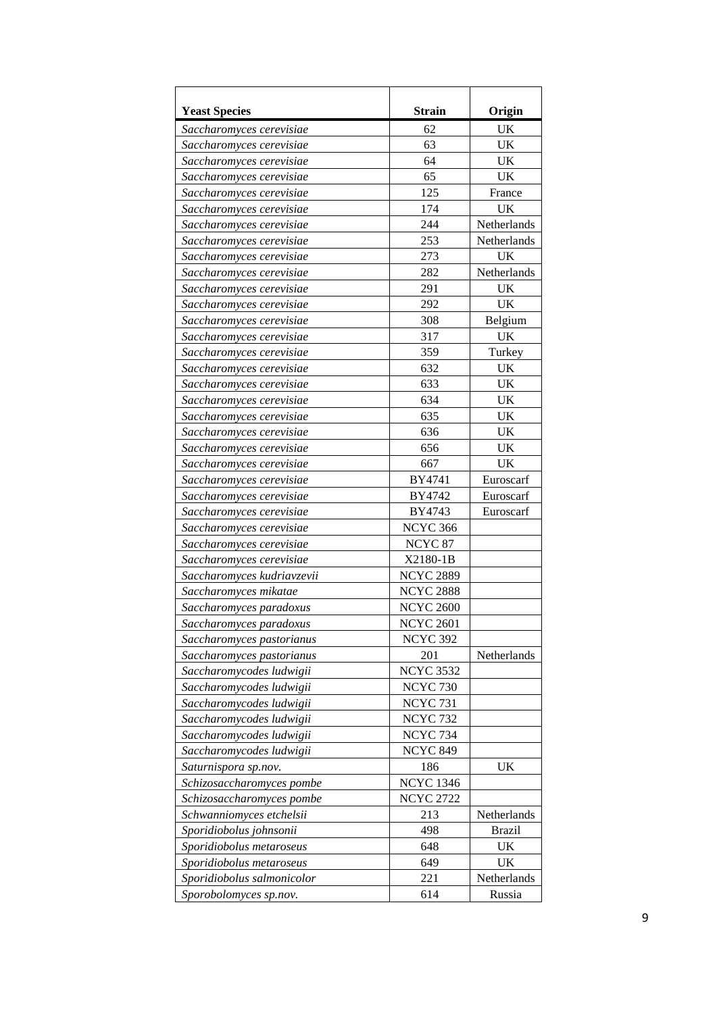| <b>Yeast Species</b>       | <b>Strain</b>      | Origin        |
|----------------------------|--------------------|---------------|
| Saccharomyces cerevisiae   | 62                 | UK            |
| Saccharomyces cerevisiae   | 63                 | UK            |
| Saccharomyces cerevisiae   | 64                 | UK            |
| Saccharomyces cerevisiae   | 65                 | UK            |
| Saccharomyces cerevisiae   | 125                | France        |
| Saccharomyces cerevisiae   | 174                | UK            |
| Saccharomyces cerevisiae   | 244                | Netherlands   |
| Saccharomyces cerevisiae   | 253                | Netherlands   |
| Saccharomyces cerevisiae   | 273                | UK            |
| Saccharomyces cerevisiae   | 282                | Netherlands   |
| Saccharomyces cerevisiae   | 291                | UK            |
| Saccharomyces cerevisiae   | 292                | UK            |
| Saccharomyces cerevisiae   | 308                | Belgium       |
| Saccharomyces cerevisiae   | 317                | UK            |
| Saccharomyces cerevisiae   | 359                | Turkey        |
| Saccharomyces cerevisiae   | 632                | UK            |
| Saccharomyces cerevisiae   | 633                | UK            |
| Saccharomyces cerevisiae   | 634                | UK            |
| Saccharomyces cerevisiae   | 635                | UK            |
| Saccharomyces cerevisiae   | 636                | UK            |
| Saccharomyces cerevisiae   | 656                | UK            |
| Saccharomyces cerevisiae   | 667                | UK            |
| Saccharomyces cerevisiae   | BY4741             | Euroscarf     |
| Saccharomyces cerevisiae   | BY4742             | Euroscarf     |
| Saccharomyces cerevisiae   | BY4743             | Euroscarf     |
| Saccharomyces cerevisiae   | <b>NCYC 366</b>    |               |
| Saccharomyces cerevisiae   | NCYC <sub>87</sub> |               |
| Saccharomyces cerevisiae   | X2180-1B           |               |
| Saccharomyces kudriavzevii | <b>NCYC 2889</b>   |               |
| Saccharomyces mikatae      | <b>NCYC 2888</b>   |               |
| Saccharomyces paradoxus    | <b>NCYC 2600</b>   |               |
| Saccharomyces paradoxus    | <b>NCYC 2601</b>   |               |
| Saccharomyces pastorianus  | <b>NCYC 392</b>    |               |
| Saccharomyces pastorianus  | 201                | Netherlands   |
| Saccharomycodes ludwigii   | <b>NCYC 3532</b>   |               |
| Saccharomycodes ludwigii   | <b>NCYC 730</b>    |               |
| Saccharomycodes ludwigii   | <b>NCYC 731</b>    |               |
| Saccharomycodes ludwigii   | <b>NCYC 732</b>    |               |
| Saccharomycodes ludwigii   | <b>NCYC 734</b>    |               |
| Saccharomycodes ludwigii   | <b>NCYC 849</b>    |               |
| Saturnispora sp.nov.       | 186                | UK            |
| Schizosaccharomyces pombe  | <b>NCYC 1346</b>   |               |
| Schizosaccharomyces pombe  | <b>NCYC 2722</b>   |               |
| Schwanniomyces etchelsii   | 213                | Netherlands   |
| Sporidiobolus johnsonii    | 498                | <b>Brazil</b> |
| Sporidiobolus metaroseus   | 648                | UK            |
| Sporidiobolus metaroseus   | 649                | UK            |
| Sporidiobolus salmonicolor | 221                | Netherlands   |
| Sporobolomyces sp.nov.     | 614                | Russia        |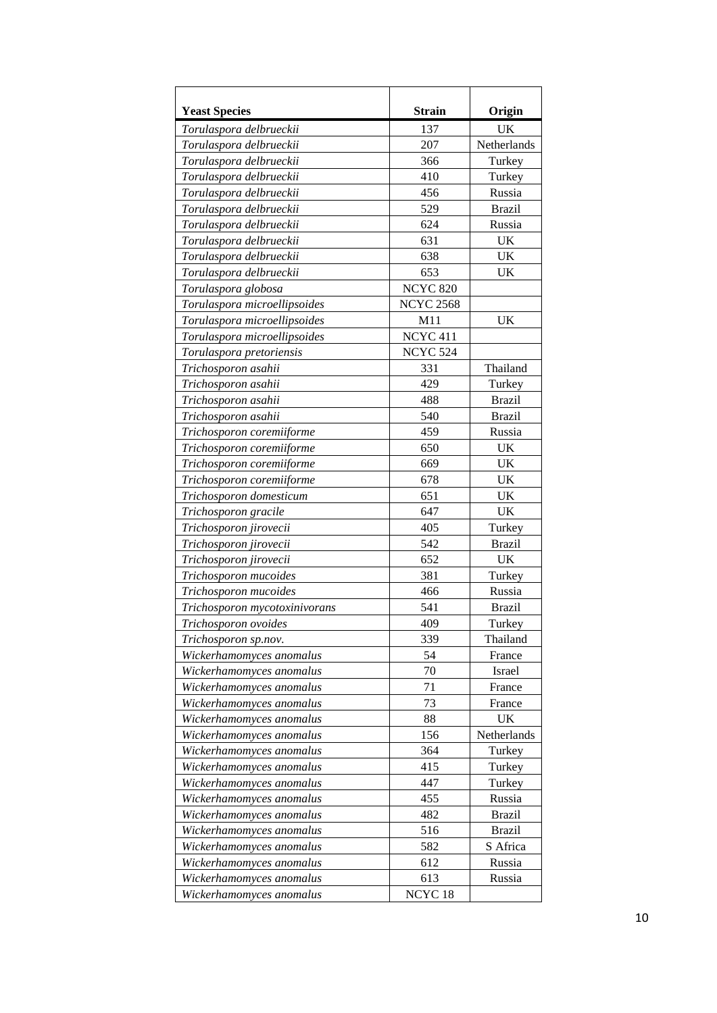| <b>Yeast Species</b>          | <b>Strain</b>       | Origin        |
|-------------------------------|---------------------|---------------|
| Torulaspora delbrueckii       | 137                 | UK            |
| Torulaspora delbrueckii       | 207                 | Netherlands   |
| Torulaspora delbrueckii       | 366                 | Turkey        |
| Torulaspora delbrueckii       | 410                 | Turkey        |
| Torulaspora delbrueckii       | 456                 | Russia        |
| Torulaspora delbrueckii       | 529                 | <b>Brazil</b> |
| Torulaspora delbrueckii       | 624                 | Russia        |
| Torulaspora delbrueckii       | 631                 | UK            |
| Torulaspora delbrueckii       | 638                 | <b>UK</b>     |
| Torulaspora delbrueckii       | 653                 | UK            |
| Torulaspora globosa           | <b>NCYC 820</b>     |               |
| Torulaspora microellipsoides  | <b>NCYC 2568</b>    |               |
| Torulaspora microellipsoides  | M11                 | <b>UK</b>     |
| Torulaspora microellipsoides  | NCYC <sub>411</sub> |               |
| Torulaspora pretoriensis      | <b>NCYC 524</b>     |               |
| Trichosporon asahii           | 331                 | Thailand      |
| Trichosporon asahii           | 429                 | Turkey        |
| Trichosporon asahii           | 488                 | <b>Brazil</b> |
| Trichosporon asahii           | 540                 | <b>Brazil</b> |
| Trichosporon coremiiforme     | 459                 | Russia        |
| Trichosporon coremiiforme     | 650                 | <b>UK</b>     |
| Trichosporon coremiiforme     | 669                 | UK            |
| Trichosporon coremiiforme     | 678                 | <b>UK</b>     |
| Trichosporon domesticum       | 651                 | UK            |
| Trichosporon gracile          | 647                 | <b>UK</b>     |
| Trichosporon jirovecii        | 405                 | Turkey        |
| Trichosporon jirovecii        | 542                 | <b>Brazil</b> |
| Trichosporon jirovecii        | 652                 | UK            |
| Trichosporon mucoides         | 381                 | Turkey        |
| Trichosporon mucoides         | 466                 | Russia        |
| Trichosporon mycotoxinivorans | 541                 | <b>Brazil</b> |
| Trichosporon ovoides          | 409                 | Turkey        |
| Trichosporon sp.nov.          | 339                 | Thailand      |
| Wickerhamomyces anomalus      | 54                  | France        |
| Wickerhamomyces anomalus      | 70                  | Israel        |
| Wickerhamomyces anomalus      | 71                  | France        |
| Wickerhamomyces anomalus      | 73                  | France        |
| Wickerhamomyces anomalus      | 88                  | <b>UK</b>     |
| Wickerhamomyces anomalus      | 156                 | Netherlands   |
| Wickerhamomyces anomalus      | 364                 | Turkey        |
| Wickerhamomyces anomalus      | 415                 | Turkey        |
| Wickerhamomyces anomalus      | 447                 | Turkey        |
| Wickerhamomyces anomalus      | 455                 | Russia        |
| Wickerhamomyces anomalus      | 482                 | <b>Brazil</b> |
| Wickerhamomyces anomalus      | 516                 | <b>Brazil</b> |
| Wickerhamomyces anomalus      | 582                 | S Africa      |
| Wickerhamomyces anomalus      | 612                 | Russia        |
| Wickerhamomyces anomalus      | 613                 | Russia        |
| Wickerhamomyces anomalus      | NCYC <sub>18</sub>  |               |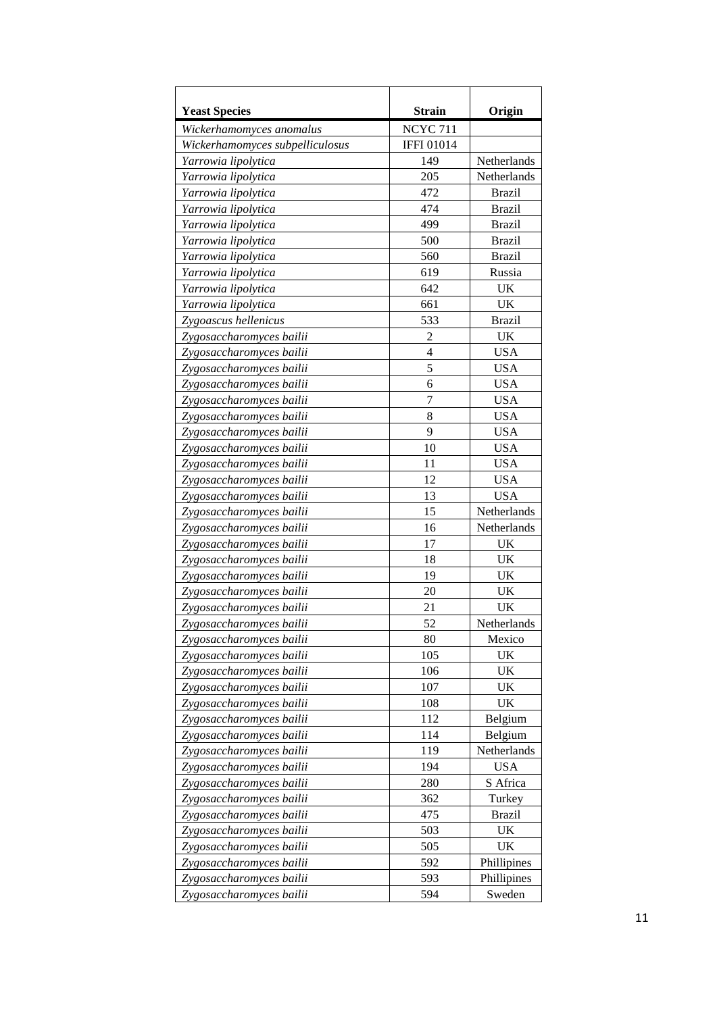| <b>Yeast Species</b>            | <b>Strain</b>    | Origin        |
|---------------------------------|------------------|---------------|
| Wickerhamomyces anomalus        | <b>NCYC 711</b>  |               |
| Wickerhamomyces subpelliculosus | <b>IFFI01014</b> |               |
| Yarrowia lipolytica             | 149              | Netherlands   |
| Yarrowia lipolytica             | 205              | Netherlands   |
| Yarrowia lipolytica             | 472              | <b>Brazil</b> |
| Yarrowia lipolytica             | 474              | <b>Brazil</b> |
| Yarrowia lipolytica             | 499              | <b>Brazil</b> |
| Yarrowia lipolytica             | 500              | <b>Brazil</b> |
| Yarrowia lipolytica             | 560              | <b>Brazil</b> |
| Yarrowia lipolytica             | 619              | Russia        |
| Yarrowia lipolytica             | 642              | UK            |
| Yarrowia lipolytica             | 661              | UK            |
| Zygoascus hellenicus            | 533              | <b>Brazil</b> |
| Zygosaccharomyces bailii        | $\overline{2}$   | UK            |
| Zygosaccharomyces bailii        | $\overline{4}$   | <b>USA</b>    |
| Zygosaccharomyces bailii        | 5                | <b>USA</b>    |
| Zygosaccharomyces bailii        | 6                | <b>USA</b>    |
| Zygosaccharomyces bailii        | 7                | <b>USA</b>    |
| Zygosaccharomyces bailii        | 8                | <b>USA</b>    |
| Zygosaccharomyces bailii        | 9                | <b>USA</b>    |
| Zygosaccharomyces bailii        | 10               | <b>USA</b>    |
| Zygosaccharomyces bailii        | 11               | <b>USA</b>    |
| Zygosaccharomyces bailii        | 12               | <b>USA</b>    |
| Zygosaccharomyces bailii        | 13               | <b>USA</b>    |
| Zygosaccharomyces bailii        | 15               | Netherlands   |
| Zygosaccharomyces bailii        | 16               | Netherlands   |
| Zygosaccharomyces bailii        | 17               | UK            |
| Zygosaccharomyces bailii        | 18               | <b>UK</b>     |
| Zygosaccharomyces bailii        | 19               | <b>UK</b>     |
| Zygosaccharomyces bailii        | 20               | UK            |
| Zygosaccharomyces bailii        | 21               | UK            |
| Zvgosaccharomvces bailii        | 52               | Netherlands   |
| Zygosaccharomyces bailii        | 80               | Mexico        |
| Zygosaccharomyces bailii        | 105              | UK            |
| Zygosaccharomyces bailii        | 106              | UK            |
| Zygosaccharomyces bailii        | 107              | UK            |
| Zygosaccharomyces bailii        | 108              | UK            |
| Zygosaccharomyces bailii        | 112              | Belgium       |
| Zygosaccharomyces bailii        | 114              | Belgium       |
| Zygosaccharomyces bailii        | 119              | Netherlands   |
| Zygosaccharomyces bailii        | 194              | <b>USA</b>    |
| Zygosaccharomyces bailii        | 280              | S Africa      |
| Zygosaccharomyces bailii        | 362              | Turkey        |
| Zygosaccharomyces bailii        | 475              | <b>Brazil</b> |
| Zygosaccharomyces bailii        | 503              | UK            |
| Zygosaccharomyces bailii        | 505              | UK            |
| Zygosaccharomyces bailii        | 592              | Phillipines   |
| Zygosaccharomyces bailii        | 593              | Phillipines   |
| Zygosaccharomyces bailii        | 594              | Sweden        |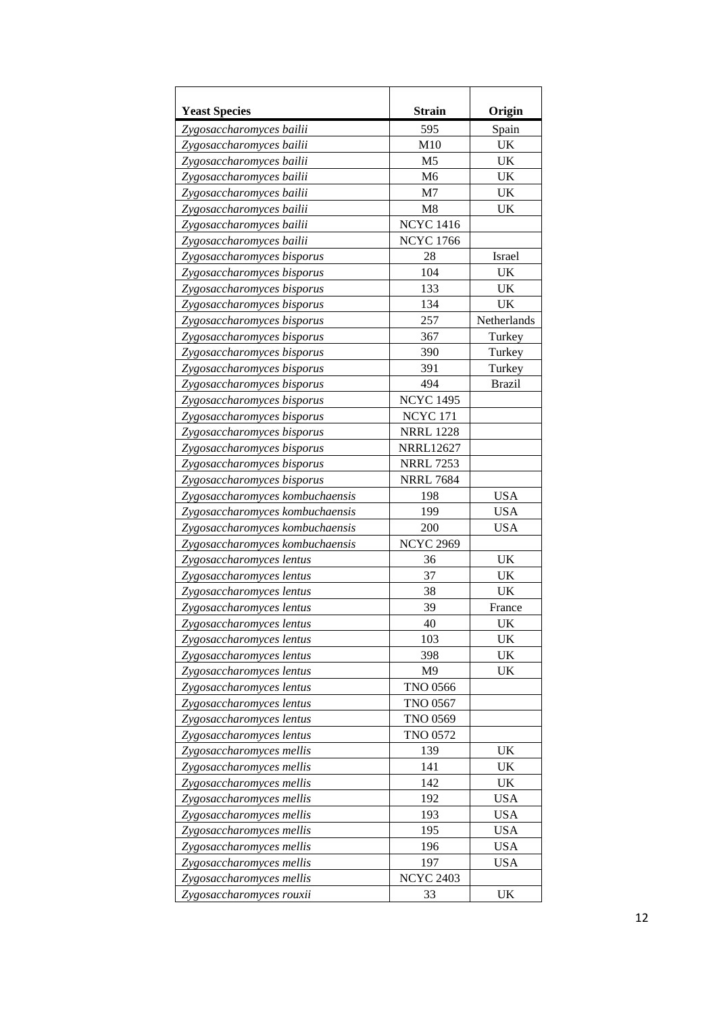| <b>Yeast Species</b>            | <b>Strain</b>    | Origin        |
|---------------------------------|------------------|---------------|
| Zygosaccharomyces bailii        | 595              | Spain         |
| Zygosaccharomyces bailii        | M10              | <b>UK</b>     |
| Zygosaccharomyces bailii        | M <sub>5</sub>   | <b>UK</b>     |
| Zygosaccharomyces bailii        | M <sub>6</sub>   | <b>UK</b>     |
| Zygosaccharomyces bailii        | M7               | <b>UK</b>     |
| Zygosaccharomyces bailii        | M8               | UK            |
| Zygosaccharomyces bailii        | <b>NCYC 1416</b> |               |
| Zygosaccharomyces bailii        | <b>NCYC 1766</b> |               |
| Zygosaccharomyces bisporus      | 28               | Israel        |
| Zygosaccharomyces bisporus      | 104              | UK            |
| Zygosaccharomyces bisporus      | 133              | UK            |
| Zygosaccharomyces bisporus      | 134              | UK            |
| Zygosaccharomyces bisporus      | 257              | Netherlands   |
| Zygosaccharomyces bisporus      | 367              | Turkey        |
| Zygosaccharomyces bisporus      | 390              | Turkey        |
| Zygosaccharomyces bisporus      | 391              | Turkey        |
| Zygosaccharomyces bisporus      | 494              | <b>Brazil</b> |
| Zygosaccharomyces bisporus      | <b>NCYC 1495</b> |               |
| Zygosaccharomyces bisporus      | <b>NCYC 171</b>  |               |
| Zygosaccharomyces bisporus      | <b>NRRL 1228</b> |               |
| Zygosaccharomyces bisporus      | <b>NRRL12627</b> |               |
| Zygosaccharomyces bisporus      | <b>NRRL 7253</b> |               |
| Zygosaccharomyces bisporus      | <b>NRRL 7684</b> |               |
| Zygosaccharomyces kombuchaensis | 198              | <b>USA</b>    |
| Zygosaccharomyces kombuchaensis | 199              | <b>USA</b>    |
| Zygosaccharomyces kombuchaensis | 200              | <b>USA</b>    |
| Zygosaccharomyces kombuchaensis | <b>NCYC 2969</b> |               |
| Zygosaccharomyces lentus        | 36               | <b>UK</b>     |
| Zygosaccharomyces lentus        | 37               | <b>UK</b>     |
| Zygosaccharomyces lentus        | 38               | UK            |
| Zygosaccharomyces lentus        | 39               | France        |
| Zygosaccharomyces lentus        | 40               | UK            |
| Zygosaccharomyces lentus        | 103              | UK            |
| Zygosaccharomyces lentus        | 398              | UK            |
| Zygosaccharomyces lentus        | M <sub>9</sub>   | UK            |
| Zygosaccharomyces lentus        | <b>TNO 0566</b>  |               |
| Zygosaccharomyces lentus        | <b>TNO 0567</b>  |               |
| Zygosaccharomyces lentus        | <b>TNO 0569</b>  |               |
| Zygosaccharomyces lentus        | <b>TNO 0572</b>  |               |
| Zygosaccharomyces mellis        | 139              | UK            |
| Zygosaccharomyces mellis        | 141              | UK            |
| Zygosaccharomyces mellis        | 142              | UK            |
| Zygosaccharomyces mellis        | 192              | <b>USA</b>    |
| Zygosaccharomyces mellis        | 193              | <b>USA</b>    |
| Zygosaccharomyces mellis        | 195              | <b>USA</b>    |
| Zygosaccharomyces mellis        | 196              | <b>USA</b>    |
| Zygosaccharomyces mellis        | 197              | <b>USA</b>    |
| Zygosaccharomyces mellis        | <b>NCYC 2403</b> |               |
| Zygosaccharomyces rouxii        | 33               | UK            |